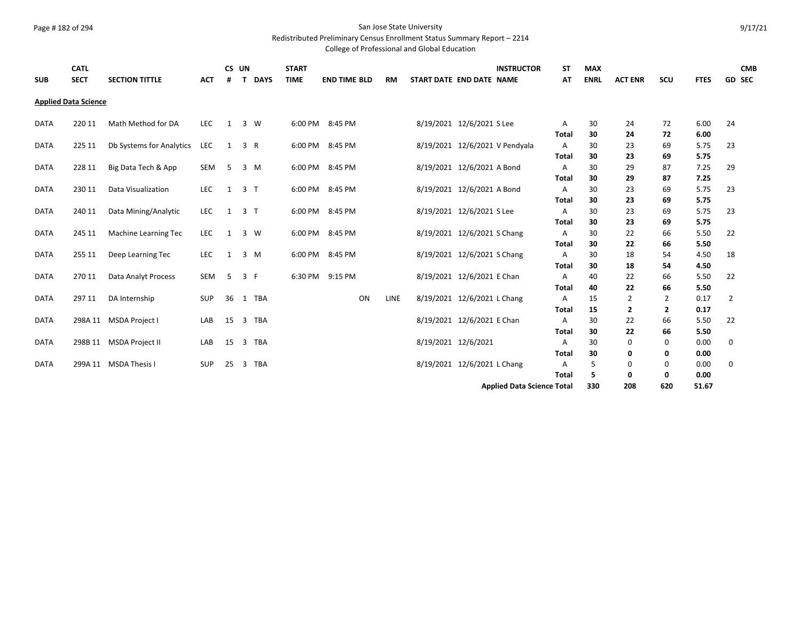## Page # 182 of 294 San Jose State University

# Redistributed Preliminary Census Enrollment Status Summary Report – 2214

| <b>SUB</b>  | <b>CATL</b><br><b>SECT</b>  | <b>SECTION TITTLE</b>    | <b>ACT</b> | CS UN<br>#   | T              | <b>DAYS</b> | <b>START</b><br><b>TIME</b> | <b>END TIME BLD</b> | <b>RM</b> | <b>INSTRUCTOR</b><br>START DATE END DATE NAME | SΤ<br>AT          | <b>MAX</b><br><b>ENRL</b> | <b>ACT ENR</b> | SCU            | <b>FTES</b>  | <b>CMB</b><br><b>GD SEC</b> |
|-------------|-----------------------------|--------------------------|------------|--------------|----------------|-------------|-----------------------------|---------------------|-----------|-----------------------------------------------|-------------------|---------------------------|----------------|----------------|--------------|-----------------------------|
|             |                             |                          |            |              |                |             |                             |                     |           |                                               |                   |                           |                |                |              |                             |
|             | <b>Applied Data Science</b> |                          |            |              |                |             |                             |                     |           |                                               |                   |                           |                |                |              |                             |
| <b>DATA</b> | 220 11                      | Math Method for DA       | <b>LEC</b> | 1 3 W        |                |             |                             | 6:00 PM 8:45 PM     |           | 8/19/2021 12/6/2021 S Lee                     | A                 | 30                        | 24             | 72             | 6.00         | 24                          |
|             |                             |                          |            |              |                |             |                             |                     |           |                                               | <b>Total</b>      | 30                        | 24             | 72             | 6.00         |                             |
| <b>DATA</b> | 225 11                      | Db Systems for Analytics | <b>LEC</b> |              | 1 3 R          |             |                             | 6:00 PM 8:45 PM     |           | 8/19/2021 12/6/2021 V Pendyala                | A                 | 30                        | 23             | 69             | 5.75         | 23                          |
|             |                             |                          |            |              |                |             |                             |                     |           |                                               | Total             | 30                        | 23             | 69             | 5.75         |                             |
| <b>DATA</b> | 228 11                      | Big Data Tech & App      | SEM        | 5            | 3 M            |             |                             | 6:00 PM 8:45 PM     |           | 8/19/2021 12/6/2021 A Bond                    | A                 | 30                        | 29             | 87             | 7.25         | 29                          |
|             |                             |                          |            |              |                |             |                             |                     |           |                                               | Total             | 30                        | 29             | 87             | 7.25         |                             |
| <b>DATA</b> | 230 11                      | Data Visualization       | LEC        | 1            | 3 <sub>1</sub> |             |                             | 6:00 PM 8:45 PM     |           | 8/19/2021 12/6/2021 A Bond                    | A                 | 30                        | 23             | 69             | 5.75         | 23                          |
|             |                             |                          |            |              |                |             |                             |                     |           |                                               | <b>Total</b>      | 30                        | 23             | 69             | 5.75         |                             |
| <b>DATA</b> | 240 11                      | Data Mining/Analytic     | LEC        | $\mathbf{1}$ | 3 <sub>T</sub> |             |                             | 6:00 PM 8:45 PM     |           | 8/19/2021 12/6/2021 S Lee                     | A                 | 30                        | 23             | 69             | 5.75         | 23                          |
|             |                             |                          |            |              |                |             |                             |                     |           |                                               | <b>Total</b>      | 30                        | 23             | 69             | 5.75         |                             |
| <b>DATA</b> | 245 11                      | Machine Learning Tec     | LEC        | 1            |                | 3 W         |                             | 6:00 PM 8:45 PM     |           | 8/19/2021 12/6/2021 S Chang                   | A                 | 30                        | 22             | 66             | 5.50         | 22                          |
|             |                             |                          |            |              |                |             |                             |                     |           |                                               | <b>Total</b>      | 30                        | 22             | 66             | 5.50         |                             |
| <b>DATA</b> | 255 11                      | Deep Learning Tec        | LEC        | $\mathbf{1}$ |                | 3 M         |                             | 6:00 PM 8:45 PM     |           | 8/19/2021 12/6/2021 S Chang                   | A                 | 30                        | 18             | 54             | 4.50         | 18                          |
|             |                             |                          |            |              |                |             |                             |                     |           |                                               | Total             | 30                        | 18             | 54             | 4.50         |                             |
| DATA        | 270 11                      | Data Analyt Process      | SEM        | 5            | 3 F            |             |                             | 6:30 PM 9:15 PM     |           | 8/19/2021 12/6/2021 E Chan                    | A                 | 40                        | 22             | 66             | 5.50         | 22                          |
|             |                             |                          |            |              |                |             |                             |                     |           |                                               | Total             | 40                        | 22             | 66             | 5.50         |                             |
| DATA        | 297 11                      | DA Internship            | <b>SUP</b> | 36 1         |                | TBA         |                             | ON                  | LINE      | 8/19/2021 12/6/2021 L Chang                   | A                 | 15                        | 2              | 2              | 0.17         | $\overline{2}$              |
|             |                             |                          |            |              |                |             |                             |                     |           |                                               | <b>Total</b>      | 15                        | $\mathbf{2}$   | $\overline{2}$ | 0.17         |                             |
| <b>DATA</b> |                             | 298A 11 MSDA Project I   | LAB        | 15           | 3              | TBA         |                             |                     |           | 8/19/2021 12/6/2021 E Chan                    | A                 | 30                        | 22             | 66             | 5.50         | 22                          |
|             |                             |                          |            |              |                |             |                             |                     |           | 8/19/2021 12/6/2021                           | <b>Total</b>      | 30                        | 22             | 66             | 5.50         |                             |
| <b>DATA</b> |                             | 298B 11 MSDA Project II  | LAB        | 15           | 3              | TBA         |                             |                     |           |                                               | A                 | 30                        | 0              | 0<br>0         | 0.00         | 0                           |
|             |                             | 299A 11 MSDA Thesis I    |            | 25           |                | TBA         |                             |                     |           | 8/19/2021 12/6/2021 L Chang                   | Total             | 30                        | 0<br>0         |                | 0.00         |                             |
| DATA        |                             |                          | SUP        |              | -3             |             |                             |                     |           |                                               | Α<br><b>Total</b> | 5<br>5                    | 0              | 0<br>0         | 0.00<br>0.00 | 0                           |
|             |                             |                          |            |              |                |             |                             |                     |           | <b>Applied Data Science Total</b>             |                   | 330                       | 208            | 620            | 51.67        |                             |
|             |                             |                          |            |              |                |             |                             |                     |           |                                               |                   |                           |                |                |              |                             |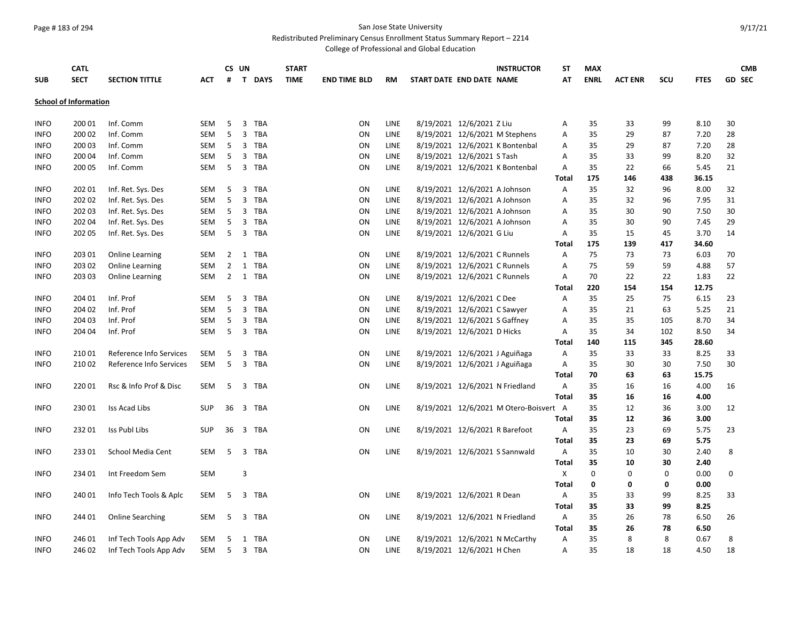## Page # 183 of 294 San Jose State University

Redistributed Preliminary Census Enrollment Status Summary Report – 2214

|             | <b>CATL</b>                  |                         |            |                | CS UN                                 | <b>START</b> |                     |             | <b>INSTRUCTOR</b>                      | <b>ST</b>    | <b>MAX</b>  |                |     |             | <b>CMB</b>    |
|-------------|------------------------------|-------------------------|------------|----------------|---------------------------------------|--------------|---------------------|-------------|----------------------------------------|--------------|-------------|----------------|-----|-------------|---------------|
| <b>SUB</b>  | <b>SECT</b>                  | <b>SECTION TITTLE</b>   | ACT        | #              | $\mathbf{T}$<br><b>DAYS</b>           | <b>TIME</b>  | <b>END TIME BLD</b> | <b>RM</b>   | START DATE END DATE NAME               | AT           | <b>ENRL</b> | <b>ACT ENR</b> | SCU | <b>FTES</b> | <b>GD SEC</b> |
|             | <b>School of Information</b> |                         |            |                |                                       |              |                     |             |                                        |              |             |                |     |             |               |
|             |                              |                         |            |                |                                       |              |                     |             |                                        |              |             |                |     |             |               |
| <b>INFO</b> | 200 01                       | Inf. Comm               | SEM        | 5              | 3<br>TBA                              |              | ON                  | LINE        | 8/19/2021 12/6/2021 Z Liu              | Α            | 35          | 33             | 99  | 8.10        | 30            |
| <b>INFO</b> | 200 02                       | Inf. Comm               | <b>SEM</b> | 5              | 3<br><b>TBA</b>                       |              | ON                  | LINE        | 8/19/2021 12/6/2021 M Stephens         | Α            | 35          | 29             | 87  | 7.20        | 28            |
| <b>INFO</b> | 200 03                       | Inf. Comm               | SEM        | 5              | 3<br><b>TBA</b>                       |              | ON                  | <b>LINE</b> | 8/19/2021 12/6/2021 K Bontenbal        | Α            | 35          | 29             | 87  | 7.20        | 28            |
| <b>INFO</b> | 200 04                       | Inf. Comm               | <b>SEM</b> | 5              | 3<br><b>TBA</b>                       |              | ON                  | <b>LINE</b> | 8/19/2021 12/6/2021 S Tash             | A            | 35          | 33             | 99  | 8.20        | 32            |
| <b>INFO</b> | 200 05                       | Inf. Comm               | SEM        | 5              | $\overline{\mathbf{3}}$<br><b>TBA</b> |              | ON                  | LINE        | 8/19/2021 12/6/2021 K Bontenbal        | Α            | 35          | 22             | 66  | 5.45        | 21            |
|             |                              |                         |            |                |                                       |              |                     |             |                                        | <b>Total</b> | 175         | 146            | 438 | 36.15       |               |
| <b>INFO</b> | 202 01                       | Inf. Ret. Sys. Des      | SEM        | 5              | 3<br>TBA                              |              | ON                  | LINE        | 8/19/2021 12/6/2021 A Johnson          | Α            | 35          | 32             | 96  | 8.00        | 32            |
| <b>INFO</b> | 202 02                       | Inf. Ret. Sys. Des      | <b>SEM</b> | 5              | 3<br><b>TBA</b>                       |              | ON                  | LINE        | 8/19/2021 12/6/2021 A Johnson          | A            | 35          | 32             | 96  | 7.95        | 31            |
| <b>INFO</b> | 202 03                       | Inf. Ret. Sys. Des      | SEM        | 5              | 3<br><b>TBA</b>                       |              | ON                  | LINE        | 8/19/2021 12/6/2021 A Johnson          | Α            | 35          | 30             | 90  | 7.50        | 30            |
| <b>INFO</b> | 202 04                       | Inf. Ret. Sys. Des      | SEM        | 5              | 3<br><b>TBA</b>                       |              | ON                  | LINE        | 8/19/2021 12/6/2021 A Johnson          | Α            | 35          | 30             | 90  | 7.45        | 29            |
| <b>INFO</b> | 202 05                       | Inf. Ret. Sys. Des      | SEM        | 5              | $\overline{\mathbf{3}}$<br><b>TBA</b> |              | ON                  | LINE        | 8/19/2021 12/6/2021 G Liu              | Α            | 35          | 15             | 45  | 3.70        | 14            |
|             |                              |                         |            |                |                                       |              |                     |             |                                        | <b>Total</b> | 175         | 139            | 417 | 34.60       |               |
| <b>INFO</b> | 203 01                       | <b>Online Learning</b>  | <b>SEM</b> |                | 2 1 TBA                               |              | ON                  | LINE        | 8/19/2021 12/6/2021 C Runnels          | A            | 75          | 73             | 73  | 6.03        | 70            |
| <b>INFO</b> | 203 02                       | <b>Online Learning</b>  | <b>SEM</b> | $\overline{2}$ | 1<br><b>TBA</b>                       |              | ON                  | LINE        | 8/19/2021 12/6/2021 C Runnels          | Α            | 75          | 59             | 59  | 4.88        | 57            |
| <b>INFO</b> | 203 03                       | <b>Online Learning</b>  | SEM        | $\overline{2}$ | $\mathbf{1}$<br>TBA                   |              | ON                  | LINE        | 8/19/2021 12/6/2021 C Runnels          | Α            | 70          | 22             | 22  | 1.83        | 22            |
|             |                              |                         |            |                |                                       |              |                     |             |                                        | <b>Total</b> | 220         | 154            | 154 | 12.75       |               |
| <b>INFO</b> | 204 01                       | Inf. Prof               | <b>SEM</b> | 5              | 3<br><b>TBA</b>                       |              | ON                  | <b>LINE</b> | 8/19/2021 12/6/2021 C Dee              | A            | 35          | 25             | 75  | 6.15        | 23            |
| <b>INFO</b> | 204 02                       | Inf. Prof               | SEM        | 5              | 3<br><b>TBA</b>                       |              | ON                  | LINE        | 8/19/2021 12/6/2021 C Sawyer           | Α            | 35          | 21             | 63  | 5.25        | 21            |
| <b>INFO</b> | 204 03                       | Inf. Prof               | SEM        | 5              | 3<br><b>TBA</b>                       |              | ON                  | LINE        | 8/19/2021 12/6/2021 S Gaffney          | Α            | 35          | 35             | 105 | 8.70        | 34            |
| <b>INFO</b> | 204 04                       | Inf. Prof               | SEM        | 5              | $\overline{\mathbf{3}}$<br>TBA        |              | ON                  | LINE        | 8/19/2021 12/6/2021 D Hicks            | Α            | 35          | 34             | 102 | 8.50        | 34            |
|             |                              |                         |            |                |                                       |              |                     |             |                                        | Total        | 140         | 115            | 345 | 28.60       |               |
| <b>INFO</b> | 210 01                       | Reference Info Services | <b>SEM</b> | 5              | 3<br><b>TBA</b>                       |              | ON                  | LINE        | 8/19/2021 12/6/2021 J Aguiñaga         | Α            | 35          | 33             | 33  | 8.25        | 33            |
| <b>INFO</b> | 210 02                       | Reference Info Services | SEM        | 5              | $\overline{\mathbf{3}}$<br><b>TBA</b> |              | ON                  | LINE        | 8/19/2021 12/6/2021 J Aguiñaga         | Α            | 35          | 30             | 30  | 7.50        | 30            |
|             |                              |                         |            |                |                                       |              |                     |             |                                        | Total        | 70          | 63             | 63  | 15.75       |               |
| <b>INFO</b> | 22001                        | Rsc & Info Prof & Disc  | SEM        | -5             | 3 TBA                                 |              | ON                  | LINE        | 8/19/2021 12/6/2021 N Friedland        | Α            | 35          | 16             | 16  | 4.00        | 16            |
|             |                              |                         |            |                |                                       |              |                     |             |                                        | <b>Total</b> | 35          | 16             | 16  | 4.00        |               |
| <b>INFO</b> | 230 01                       | Iss Acad Libs           | <b>SUP</b> | 36             | $\overline{\mathbf{3}}$<br>TBA        |              | ON                  | LINE        | 8/19/2021 12/6/2021 M Otero-Boisvert A |              | 35          | 12             | 36  | 3.00        | 12            |
|             |                              |                         |            |                |                                       |              |                     |             |                                        | <b>Total</b> | 35          | 12             | 36  | 3.00        |               |
| <b>INFO</b> | 23201                        | Iss Publ Libs           | <b>SUP</b> | 36             | 3<br>TBA                              |              | ON                  | LINE        | 8/19/2021 12/6/2021 R Barefoot         | Α            | 35          | 23             | 69  | 5.75        | 23            |
|             |                              |                         |            |                |                                       |              |                     |             |                                        | <b>Total</b> | 35          | 23             | 69  | 5.75        |               |
| <b>INFO</b> | 23301                        | School Media Cent       | SEM        | 5              | 3 TBA                                 |              | ON                  | LINE        | 8/19/2021 12/6/2021 S Sannwald         | A            | 35          | 10             | 30  | 2.40        | 8             |
|             |                              |                         |            |                |                                       |              |                     |             |                                        | <b>Total</b> | 35          | 10             | 30  | 2.40        |               |
| <b>INFO</b> | 234 01                       | Int Freedom Sem         | SEM        |                | 3                                     |              |                     |             |                                        | X            | $\mathbf 0$ | 0              | 0   | 0.00        | 0             |
|             |                              |                         |            |                |                                       |              |                     |             |                                        | <b>Total</b> | 0           | 0              | 0   | 0.00        |               |
| <b>INFO</b> | 240 01                       | Info Tech Tools & Aplc  | <b>SEM</b> | 5              | 3<br><b>TBA</b>                       |              | ON                  | <b>LINE</b> | 8/19/2021 12/6/2021 R Dean             | A            | 35          | 33             | 99  | 8.25        | 33            |
|             |                              |                         |            |                |                                       |              |                     |             |                                        | <b>Total</b> | 35          | 33             | 99  | 8.25        |               |
| <b>INFO</b> | 244 01                       | <b>Online Searching</b> | SEM        | 5              | $\overline{\mathbf{3}}$<br>TBA        |              | ON                  | LINE        | 8/19/2021 12/6/2021 N Friedland        | A            | 35          | 26             | 78  | 6.50        | 26            |
|             |                              |                         |            |                |                                       |              |                     |             |                                        | <b>Total</b> | 35          | 26             | 78  | 6.50        |               |
| <b>INFO</b> | 246 01                       | Inf Tech Tools App Adv  | SEM        | 5              | TBA<br>1                              |              | ON                  | LINE        | 8/19/2021 12/6/2021 N McCarthy         | Α            | 35          | 8              | 8   | 0.67        | 8             |
| <b>INFO</b> | 246 02                       | Inf Tech Tools App Adv  | SEM        | 5              | $\overline{3}$<br><b>TBA</b>          |              | ON                  | <b>LINE</b> | 8/19/2021 12/6/2021 H Chen             | A            | 35          | 18             | 18  | 4.50        | 18            |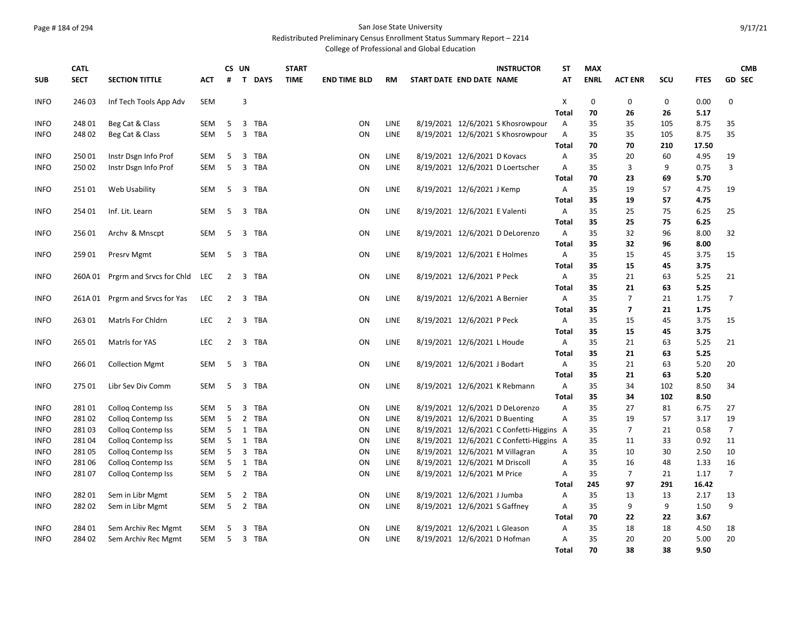## Page # 184 of 294 San Jose State University

# Redistributed Preliminary Census Enrollment Status Summary Report – 2214

|             | <b>CATL</b> |                                  |            |                | CS UN                   |             | <b>START</b> |                     |           | <b>INSTRUCTOR</b>                        | <b>ST</b>      | <b>MAX</b>  |                |             |             | <b>CMB</b>     |
|-------------|-------------|----------------------------------|------------|----------------|-------------------------|-------------|--------------|---------------------|-----------|------------------------------------------|----------------|-------------|----------------|-------------|-------------|----------------|
| <b>SUB</b>  | <b>SECT</b> | <b>SECTION TITTLE</b>            | АСТ        | #              | $\mathbf{T}$            | <b>DAYS</b> | <b>TIME</b>  | <b>END TIME BLD</b> | <b>RM</b> | START DATE END DATE NAME                 | AT             | <b>ENRL</b> | <b>ACT ENR</b> | SCU         | <b>FTES</b> | <b>GD SEC</b>  |
| <b>INFO</b> | 246 03      | Inf Tech Tools App Adv           | <b>SEM</b> |                | 3                       |             |              |                     |           |                                          | $\mathsf{x}$   | $\mathbf 0$ | $\mathbf 0$    | $\mathbf 0$ | 0.00        | $\Omega$       |
|             |             |                                  |            |                |                         |             |              |                     |           |                                          | <b>Total</b>   | 70          | 26             | 26          | 5.17        |                |
| <b>INFO</b> | 248 01      | Beg Cat & Class                  | <b>SEM</b> | 5              | 3                       | TBA         |              | ON                  | LINE      | 8/19/2021 12/6/2021 S Khosrowpour        | A              | 35          | 35             | 105         | 8.75        | 35             |
| <b>INFO</b> | 248 02      | Beg Cat & Class                  | <b>SEM</b> | 5              | 3                       | <b>TBA</b>  |              | ON                  | LINE      | 8/19/2021 12/6/2021 S Khosrowpour        | $\overline{A}$ | 35          | 35             | 105         | 8.75        | 35             |
|             |             |                                  |            |                |                         |             |              |                     |           |                                          | <b>Total</b>   | 70          | 70             | 210         | 17.50       |                |
| <b>INFO</b> | 25001       | Instr Dsgn Info Prof             | <b>SEM</b> | 5              | 3                       | <b>TBA</b>  |              | ON                  | LINE      | 8/19/2021 12/6/2021 D Kovacs             | Α              | 35          | 20             | 60          | 4.95        | 19             |
| <b>INFO</b> | 25002       | Instr Dsgn Info Prof             | <b>SEM</b> | 5              | 3                       | TBA         |              | ON                  | LINE      | 8/19/2021 12/6/2021 D Loertscher         | Α              | 35          | 3              | 9           | 0.75        | 3              |
|             |             |                                  |            |                |                         |             |              |                     |           |                                          | <b>Total</b>   | 70          | 23             | 69          | 5.70        |                |
| <b>INFO</b> | 25101       | Web Usability                    | SEM        | -5             | $\overline{\mathbf{3}}$ | TBA         |              | ON                  | LINE      | 8/19/2021 12/6/2021 J Kemp               | $\overline{A}$ | 35          | 19             | 57          | 4.75        | 19             |
|             |             |                                  |            |                |                         |             |              |                     |           |                                          | <b>Total</b>   | 35          | 19             | 57          | 4.75        |                |
| <b>INFO</b> | 254 01      | Inf. Lit. Learn                  | SEM        | 5              | 3                       | <b>TBA</b>  |              | ON                  | LINE      | 8/19/2021 12/6/2021 E Valenti            | Α              | 35          | 25             | 75          | 6.25        | 25             |
|             |             |                                  |            |                |                         |             |              |                     |           |                                          | <b>Total</b>   | 35          | 25             | 75          | 6.25        |                |
| <b>INFO</b> | 25601       | Archy & Mnscpt                   | <b>SEM</b> | 5              | 3                       | <b>TBA</b>  |              | ON                  | LINE      | 8/19/2021 12/6/2021 D DeLorenzo          | A              | 35          | 32             | 96          | 8.00        | 32             |
|             |             |                                  |            |                |                         |             |              |                     |           |                                          | <b>Total</b>   | 35          | 32             | 96          | 8.00        |                |
| <b>INFO</b> | 25901       | Presrv Mgmt                      | SEM        | 5              | $\overline{\mathbf{3}}$ | TBA         |              | ON                  | LINE      | 8/19/2021 12/6/2021 E Holmes             | A              | 35          | 15             | 45          | 3.75        | 15             |
|             |             |                                  |            |                |                         |             |              |                     |           |                                          | <b>Total</b>   | 35          | 15             | 45          | 3.75        |                |
| <b>INFO</b> |             | 260A 01 Prgrm and Srvcs for Chld | <b>LEC</b> | $\overline{2}$ | 3                       | <b>TBA</b>  |              | ON                  | LINE      | 8/19/2021 12/6/2021 P Peck               | Α              | 35          | 21             | 63          | 5.25        | 21             |
|             |             |                                  |            |                |                         |             |              |                     |           |                                          | <b>Total</b>   | 35          | 21             | 63          | 5.25        |                |
| <b>INFO</b> |             | 261A 01 Prgrm and Srvcs for Yas  | <b>LEC</b> | $\overline{2}$ | 3                       | <b>TBA</b>  |              | ON                  | LINE      | 8/19/2021 12/6/2021 A Bernier            | A              | 35          | $\overline{7}$ | 21          | 1.75        | $\overline{7}$ |
|             |             |                                  |            |                |                         |             |              |                     |           |                                          | <b>Total</b>   | 35          | $\overline{7}$ | 21          | 1.75        |                |
| <b>INFO</b> | 26301       | Matrls For Chidrn                | <b>LEC</b> |                |                         | 2 3 TBA     |              | ON                  | LINE      | 8/19/2021 12/6/2021 P Peck               | Α              | 35          | 15             | 45          | 3.75        | 15             |
|             |             |                                  |            |                |                         |             |              |                     |           |                                          | <b>Total</b>   | 35          | 15             | 45          | 3.75        |                |
| <b>INFO</b> | 265 01      | Matrls for YAS                   | LEC        | $\overline{2}$ | 3                       | <b>TBA</b>  |              | ON                  | LINE      | 8/19/2021 12/6/2021 L Houde              | A              | 35          | 21             | 63          | 5.25        | 21             |
|             |             |                                  |            |                |                         |             |              |                     |           |                                          | Total          | 35          | 21             | 63          | 5.25        |                |
| <b>INFO</b> | 26601       | <b>Collection Mgmt</b>           | <b>SEM</b> | 5              | 3                       | <b>TBA</b>  |              | ON                  | LINE      | 8/19/2021 12/6/2021 J Bodart             | A              | 35          | 21             | 63          | 5.20        | 20             |
|             |             |                                  |            |                |                         |             |              |                     |           |                                          | <b>Total</b>   | 35          | 21             | 63          | 5.20        |                |
| <b>INFO</b> | 275 01      | Libr Sev Div Comm                | SEM        | 5              |                         | 3 TBA       |              | ON                  | LINE      | 8/19/2021 12/6/2021 K Rebmann            | A              | 35          | 34             | 102         | 8.50        | 34             |
|             |             |                                  |            |                |                         |             |              |                     |           |                                          | <b>Total</b>   | 35          | 34             | 102         | 8.50        |                |
| <b>INFO</b> | 28101       | <b>Collog Contemp Iss</b>        | <b>SEM</b> | 5              | 3                       | <b>TBA</b>  |              | ON                  | LINE      | 8/19/2021 12/6/2021 D DeLorenzo          | Α              | 35          | 27             | 81          | 6.75        | 27             |
| <b>INFO</b> | 28102       | Colloq Contemp Iss               | SEM        | 5              | 2                       | <b>TBA</b>  |              | ON                  | LINE      | 8/19/2021 12/6/2021 D Buenting           | A              | 35          | 19             | 57          | 3.17        | 19             |
| <b>INFO</b> | 28103       | Colloq Contemp Iss               | SEM        | 5              | $\mathbf{1}$            | <b>TBA</b>  |              | ON                  | LINE      | 8/19/2021 12/6/2021 C Confetti-Higgins A |                | 35          | $\overline{7}$ | 21          | 0.58        | $\overline{7}$ |
| <b>INFO</b> | 28104       | <b>Collog Contemp Iss</b>        | SEM        | 5              | 1                       | TBA         |              | ON                  | LINE      | 8/19/2021 12/6/2021 C Confetti-Higgins A |                | 35          | 11             | 33          | 0.92        | 11             |
| <b>INFO</b> | 28105       | <b>Collog Contemp Iss</b>        | SEM        | 5              | 3                       | TBA         |              | ON                  | LINE      | 8/19/2021 12/6/2021 M Villagran          | Α              | 35          | 10             | 30          | 2.50        | 10             |
| <b>INFO</b> | 28106       | <b>Collog Contemp Iss</b>        | <b>SEM</b> | 5              | 1                       | <b>TBA</b>  |              | ON                  | LINE      | 8/19/2021 12/6/2021 M Driscoll           | A              | 35          | 16             | 48          | 1.33        | 16             |
| <b>INFO</b> | 28107       | Colloq Contemp Iss               | SEM        | 5              | $\overline{2}$          | TBA         |              | ON                  | LINE      | 8/19/2021 12/6/2021 M Price              | A              | 35          | $\overline{7}$ | 21          | 1.17        | $\overline{7}$ |
|             |             |                                  |            |                |                         |             |              |                     |           |                                          | Total          | 245         | 97             | 291         | 16.42       |                |
| <b>INFO</b> | 28201       | Sem in Libr Mgmt                 | <b>SEM</b> | 5              | 2                       | <b>TBA</b>  |              | ON                  | LINE      | 8/19/2021 12/6/2021 J Jumba              | A              | 35          | 13             | 13          | 2.17        | 13             |
| <b>INFO</b> | 28202       | Sem in Libr Mgmt                 | SEM        | 5              | $\overline{2}$          | TBA         |              | ON                  | LINE      | 8/19/2021 12/6/2021 S Gaffney            | Α              | 35          | 9              | 9           | 1.50        | 9              |
|             |             |                                  |            |                |                         |             |              |                     |           |                                          | <b>Total</b>   | 70          | 22             | 22          | 3.67        |                |
| <b>INFO</b> | 284 01      | Sem Archiv Rec Mgmt              | <b>SEM</b> | 5              | 3                       | TBA         |              | ON                  | LINE      | 8/19/2021 12/6/2021 L Gleason            | A              | 35          | 18             | 18          | 4.50        | 18             |
| <b>INFO</b> | 284 02      | Sem Archiv Rec Mgmt              | <b>SEM</b> | 5              |                         | 3 TBA       |              | ON                  | LINE      | 8/19/2021 12/6/2021 D Hofman             | Α              | 35          | 20             | 20          | 5.00        | 20             |
|             |             |                                  |            |                |                         |             |              |                     |           |                                          | <b>Total</b>   | 70          | 38             | 38          | 9.50        |                |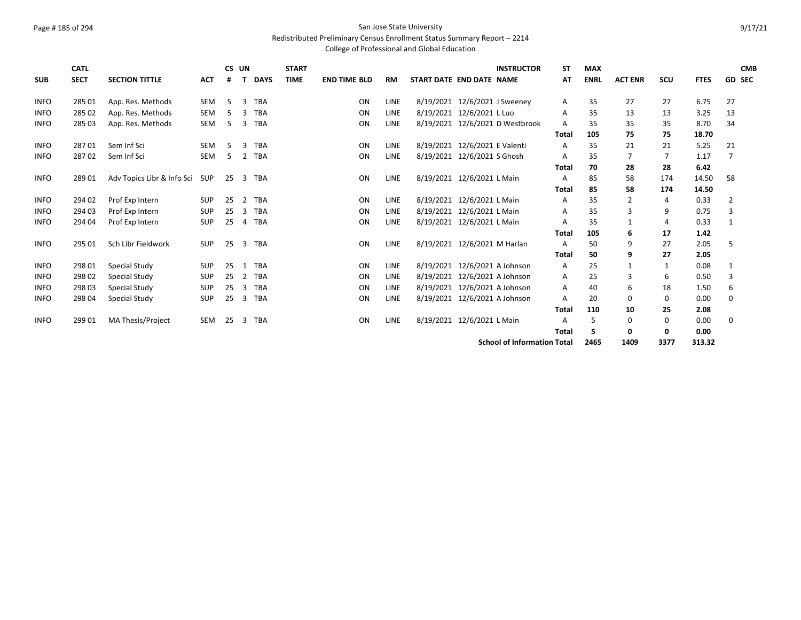#### Page # 185 of 294 San Jose State University

Redistributed Preliminary Census Enrollment Status Summary Report – 2214

|             | <b>CATL</b> |                                    |            |              | CS UN |             | <b>START</b> |                     |             | <b>INSTRUCTOR</b>               | SΤ           | <b>MAX</b>  |                |     |             | <b>CMB</b>     |
|-------------|-------------|------------------------------------|------------|--------------|-------|-------------|--------------|---------------------|-------------|---------------------------------|--------------|-------------|----------------|-----|-------------|----------------|
| <b>SUB</b>  | <b>SECT</b> | <b>SECTION TITTLE</b>              | <b>ACT</b> | #            |       | <b>DAYS</b> | <b>TIME</b>  | <b>END TIME BLD</b> | RM          | START DATE END DATE NAME        | AT           | <b>ENRL</b> | <b>ACT ENR</b> | SCU | <b>FTES</b> | <b>GD SEC</b>  |
| <b>INFO</b> | 285 01      | App. Res. Methods                  | <b>SEM</b> | 5            | 3     | <b>TBA</b>  |              | ON                  | LINE        | 8/19/2021 12/6/2021 J Sweeney   | A            | 35          | 27             | 27  | 6.75        | 27             |
| <b>INFO</b> | 285 02      | App. Res. Methods                  | SEM        | 5.           | 3     | <b>TBA</b>  |              | ON                  | LINE        | 8/19/2021 12/6/2021 L Luo       | A            | 35          | 13             | 13  | 3.25        | 13             |
| <b>INFO</b> | 285 03      | App. Res. Methods                  | <b>SEM</b> | 5            | 3     | <b>TBA</b>  |              | ON                  | <b>LINE</b> | 8/19/2021 12/6/2021 D Westbrook | A            | 35          | 35             | 35  | 8.70        | 34             |
|             |             |                                    |            |              |       |             |              |                     |             |                                 | Total        | 105         | 75             | 75  | 18.70       |                |
| <b>INFO</b> | 28701       | Sem Inf Sci                        | <b>SEM</b> | 5            | 3     | <b>TBA</b>  |              | ON                  | LINE        | 8/19/2021 12/6/2021 E Valenti   | Α            | 35          | 21             | 21  | 5.25        | 21             |
| <b>INFO</b> | 28702       | Sem Inf Sci                        | <b>SEM</b> | 5.           | 2     | <b>TBA</b>  |              | ON                  | LINE        | 8/19/2021 12/6/2021 S Ghosh     | A            | 35          | 7              | 7   | 1.17        | $\overline{7}$ |
|             |             |                                    |            |              |       |             |              |                     |             |                                 | Total        | 70          | 28             | 28  | 6.42        |                |
| <b>INFO</b> | 28901       | Adv Topics Libr & Info Sci SUP     |            | $25 \quad 3$ |       | <b>TBA</b>  |              | ON                  | LINE        | 8/19/2021 12/6/2021 L Main      | A            | 85          | 58             | 174 | 14.50       | 58             |
|             |             |                                    |            |              |       |             |              |                     |             |                                 | <b>Total</b> | 85          | 58             | 174 | 14.50       |                |
| <b>INFO</b> | 294 02      | Prof Exp Intern                    | <b>SUP</b> | 25           | 2     | <b>TBA</b>  |              | ON                  | LINE        | 8/19/2021 12/6/2021 L Main      | A            | 35          | 2              | 4   | 0.33        | 2              |
| <b>INFO</b> | 294 03      | Prof Exp Intern                    | <b>SUP</b> | 25           | 3     | <b>TBA</b>  |              | <b>ON</b>           | LINE        | 8/19/2021 12/6/2021 L Main      | A            | 35          | 3              | 9   | 0.75        | 3              |
| <b>INFO</b> | 294 04      | Prof Exp Intern                    | <b>SUP</b> | 25           | 4     | <b>TBA</b>  |              | ON                  | LINE        | 8/19/2021 12/6/2021 L Main      | Α            | 35          | 1              | 4   | 0.33        | 1              |
|             |             |                                    |            |              |       |             |              |                     |             |                                 | Total        | 105         | 6              | 17  | 1.42        |                |
| <b>INFO</b> | 295 01      | Sch Libr Fieldwork                 | <b>SUP</b> | 25           | -3    | <b>TBA</b>  |              | ON                  | LINE        | 8/19/2021 12/6/2021 M Harlan    | Α            | 50          | 9              | 27  | 2.05        | 5              |
|             |             |                                    |            |              |       |             |              |                     |             |                                 | <b>Total</b> | 50          | 9              | 27  | 2.05        |                |
| <b>INFO</b> | 298 01      | Special Study                      | <b>SUP</b> | 25           | 1     | <b>TBA</b>  |              | ON                  | <b>LINE</b> | 8/19/2021 12/6/2021 A Johnson   | A            | 25          |                |     | 0.08        | 1              |
| <b>INFO</b> | 298 02      | Special Study                      | <b>SUP</b> | 25           | 2     | <b>TBA</b>  |              | ON                  | <b>LINE</b> | 8/19/2021 12/6/2021 A Johnson   | A            | 25          | 3              | 6   | 0.50        | 3              |
| <b>INFO</b> | 298 03      | Special Study                      | <b>SUP</b> | 25           | 3     | TBA         |              | ON                  | <b>LINE</b> | 8/19/2021 12/6/2021 A Johnson   | Α            | 40          | 6              | 18  | 1.50        | 6              |
| <b>INFO</b> | 298 04      | Special Study                      | <b>SUP</b> | 25           | 3     | <b>TBA</b>  |              | ON                  | LINE        | 8/19/2021 12/6/2021 A Johnson   | A            | 20          | 0              | 0   | 0.00        | 0              |
|             |             |                                    |            |              |       |             |              |                     |             |                                 | <b>Total</b> | 110         | 10             | 25  | 2.08        |                |
| <b>INFO</b> | 299 01      | MA Thesis/Project                  | <b>SEM</b> | 25           | 3     | <b>TBA</b>  |              | ON                  | <b>LINE</b> | 8/19/2021 12/6/2021 L Main      | A            | 5           | 0              | 0   | 0.00        | 0              |
|             |             |                                    |            |              |       |             |              |                     |             |                                 | <b>Total</b> | 5.          | 0              | 0   | 0.00        |                |
|             |             | <b>School of Information Total</b> |            |              |       |             |              | 2465                | 1409        | 3377                            | 313.32       |             |                |     |             |                |